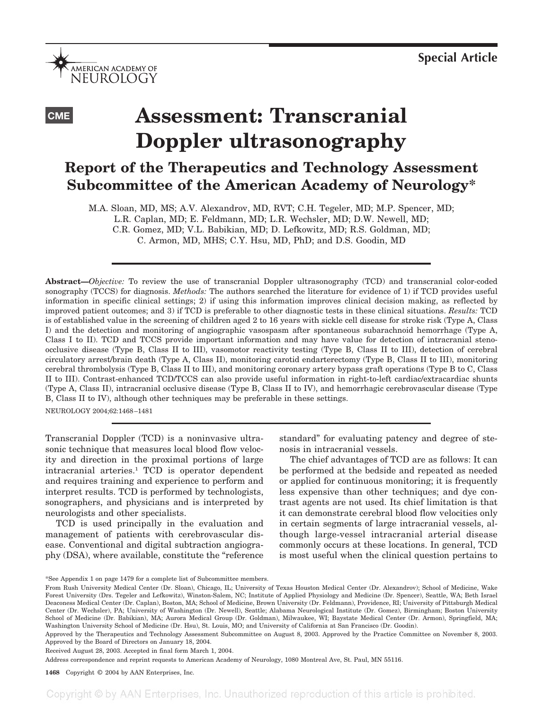

# **CME Assessment: Transcranial Doppler ultrasonography**

# **Report of the Therapeutics and Technology Assessment Subcommittee of the American Academy of Neurology\***

M.A. Sloan, MD, MS; A.V. Alexandrov, MD, RVT; C.H. Tegeler, MD; M.P. Spencer, MD; L.R. Caplan, MD; E. Feldmann, MD; L.R. Wechsler, MD; D.W. Newell, MD; C.R. Gomez, MD; V.L. Babikian, MD; D. Lefkowitz, MD; R.S. Goldman, MD; C. Armon, MD, MHS; C.Y. Hsu, MD, PhD; and D.S. Goodin, MD

**Abstract—***Objective:* To review the use of transcranial Doppler ultrasonography (TCD) and transcranial color-coded sonography (TCCS) for diagnosis. *Methods:* The authors searched the literature for evidence of 1) if TCD provides useful information in specific clinical settings; 2) if using this information improves clinical decision making, as reflected by improved patient outcomes; and 3) if TCD is preferable to other diagnostic tests in these clinical situations. *Results:* TCD is of established value in the screening of children aged 2 to 16 years with sickle cell disease for stroke risk (Type A, Class I) and the detection and monitoring of angiographic vasospasm after spontaneous subarachnoid hemorrhage (Type A, Class I to II). TCD and TCCS provide important information and may have value for detection of intracranial stenoocclusive disease (Type B, Class II to III), vasomotor reactivity testing (Type B, Class II to III), detection of cerebral circulatory arrest/brain death (Type A, Class II), monitoring carotid endarterectomy (Type B, Class II to III), monitoring cerebral thrombolysis (Type B, Class II to III), and monitoring coronary artery bypass graft operations (Type B to C, Class II to III). Contrast-enhanced TCD/TCCS can also provide useful information in right-to-left cardiac/extracardiac shunts (Type A, Class II), intracranial occlusive disease (Type B, Class II to IV), and hemorrhagic cerebrovascular disease (Type B, Class II to IV), although other techniques may be preferable in these settings.

NEUROLOGY 2004;62:1468–1481

Transcranial Doppler (TCD) is a noninvasive ultrasonic technique that measures local blood flow velocity and direction in the proximal portions of large intracranial arteries.1 TCD is operator dependent and requires training and experience to perform and interpret results. TCD is performed by technologists, sonographers, and physicians and is interpreted by neurologists and other specialists.

TCD is used principally in the evaluation and management of patients with cerebrovascular disease. Conventional and digital subtraction angiography (DSA), where available, constitute the "reference standard" for evaluating patency and degree of stenosis in intracranial vessels.

The chief advantages of TCD are as follows: It can be performed at the bedside and repeated as needed or applied for continuous monitoring; it is frequently less expensive than other techniques; and dye contrast agents are not used. Its chief limitation is that it can demonstrate cerebral blood flow velocities only in certain segments of large intracranial vessels, although large-vessel intracranial arterial disease commonly occurs at these locations. In general, TCD is most useful when the clinical question pertains to

Received August 28, 2003. Accepted in final form March 1, 2004.

Address correspondence and reprint requests to American Academy of Neurology, 1080 Montreal Ave, St. Paul, MN 55116.

**1468** Copyright © 2004 by AAN Enterprises, Inc.

<sup>\*</sup>See Appendix 1 on page 1479 for a complete list of Subcommittee members.

From Rush University Medical Center (Dr. Sloan), Chicago, IL; University of Texas Houston Medical Center (Dr. Alexandrov); School of Medicine, Wake Forest University (Drs. Tegeler and Lefkowitz), Winston-Salem, NC; Institute of Applied Physiology and Medicine (Dr. Spencer), Seattle, WA; Beth Israel Deaconess Medical Center (Dr. Caplan), Boston, MA; School of Medicine, Brown University (Dr. Feldmann), Providence, RI; University of Pittsburgh Medical Center (Dr. Wechsler), PA; University of Washington (Dr. Newell), Seattle; Alabama Neurological Institute (Dr. Gomez), Birmingham; Boston University School of Medicine (Dr. Babikian), MA; Aurora Medical Group (Dr. Goldman), Milwaukee, WI; Baystate Medical Center (Dr. Armon), Springfield, MA; Washington University School of Medicine (Dr. Hsu), St. Louis, MO; and University of California at San Francisco (Dr. Goodin).

Approved by the Therapeutics and Technology Assessment Subcommittee on August 8, 2003. Approved by the Practice Committee on November 8, 2003. Approved by the Board of Directors on January 18, 2004.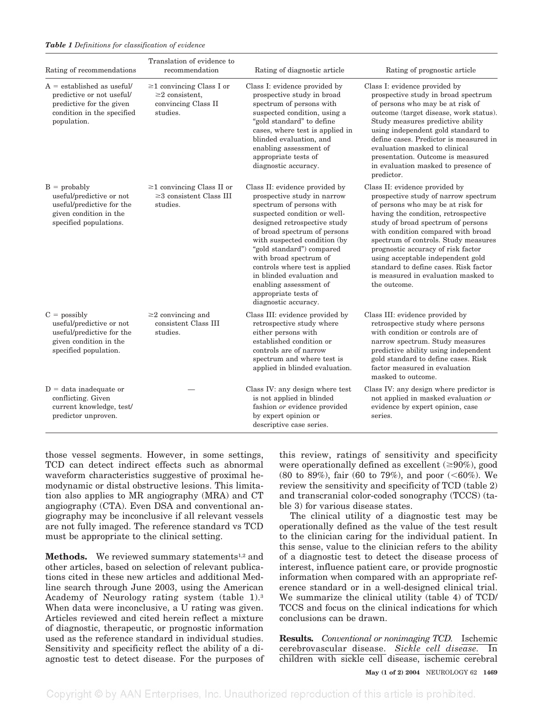| <b>Table 1</b> Definitions for classification of evidence |  |  |  |  |  |
|-----------------------------------------------------------|--|--|--|--|--|
|-----------------------------------------------------------|--|--|--|--|--|

| Rating of recommendations                                                                                                          | Translation of evidence to<br>recommendation                                              | Rating of diagnostic article                                                                                                                                                                                                                                                                                                                                                                                              | Rating of prognostic article                                                                                                                                                                                                                                                                                                                                                                                                                      |
|------------------------------------------------------------------------------------------------------------------------------------|-------------------------------------------------------------------------------------------|---------------------------------------------------------------------------------------------------------------------------------------------------------------------------------------------------------------------------------------------------------------------------------------------------------------------------------------------------------------------------------------------------------------------------|---------------------------------------------------------------------------------------------------------------------------------------------------------------------------------------------------------------------------------------------------------------------------------------------------------------------------------------------------------------------------------------------------------------------------------------------------|
| $A =$ established as useful/<br>predictive or not useful/<br>predictive for the given<br>condition in the specified<br>population. | $\geq$ 1 convincing Class I or<br>$\geq$ 2 consistent,<br>convincing Class II<br>studies. | Class I: evidence provided by<br>prospective study in broad<br>spectrum of persons with<br>suspected condition, using a<br>"gold standard" to define<br>cases, where test is applied in<br>blinded evaluation, and<br>enabling assessment of<br>appropriate tests of<br>diagnostic accuracy.                                                                                                                              | Class I: evidence provided by<br>prospective study in broad spectrum<br>of persons who may be at risk of<br>outcome (target disease, work status).<br>Study measures predictive ability<br>using independent gold standard to<br>define cases. Predictor is measured in<br>evaluation masked to clinical<br>presentation. Outcome is measured<br>in evaluation masked to presence of<br>predictor.                                                |
| $B =$ probably<br>useful/predictive or not<br>useful/predictive for the<br>given condition in the<br>specified populations.        | $\geq$ 1 convincing Class II or<br>$\geq$ 3 consistent Class III<br>studies.              | Class II: evidence provided by<br>prospective study in narrow<br>spectrum of persons with<br>suspected condition or well-<br>designed retrospective study<br>of broad spectrum of persons<br>with suspected condition (by<br>"gold standard") compared<br>with broad spectrum of<br>controls where test is applied<br>in blinded evaluation and<br>enabling assessment of<br>appropriate tests of<br>diagnostic accuracy. | Class II: evidence provided by<br>prospective study of narrow spectrum<br>of persons who may be at risk for<br>having the condition, retrospective<br>study of broad spectrum of persons<br>with condition compared with broad<br>spectrum of controls. Study measures<br>prognostic accuracy of risk factor<br>using acceptable independent gold<br>standard to define cases. Risk factor<br>is measured in evaluation masked to<br>the outcome. |
| $C =$ possibly<br>useful/predictive or not<br>useful/predictive for the<br>given condition in the<br>specified population.         | $\geq$ 2 convincing and<br>consistent Class III<br>studies.                               | Class III: evidence provided by<br>retrospective study where<br>either persons with<br>established condition or<br>controls are of narrow<br>spectrum and where test is<br>applied in blinded evaluation.                                                                                                                                                                                                                 | Class III: evidence provided by<br>retrospective study where persons<br>with condition or controls are of<br>narrow spectrum. Study measures<br>predictive ability using independent<br>gold standard to define cases. Risk<br>factor measured in evaluation<br>masked to outcome.                                                                                                                                                                |
| $D = data inadequate or$<br>conflicting. Given<br>current knowledge, test/<br>predictor unproven.                                  |                                                                                           | Class IV: any design where test<br>is not applied in blinded<br>fashion or evidence provided<br>by expert opinion or<br>descriptive case series.                                                                                                                                                                                                                                                                          | Class IV: any design where predictor is<br>not applied in masked evaluation or<br>evidence by expert opinion, case<br>series.                                                                                                                                                                                                                                                                                                                     |

those vessel segments. However, in some settings, TCD can detect indirect effects such as abnormal waveform characteristics suggestive of proximal hemodynamic or distal obstructive lesions. This limitation also applies to MR angiography (MRA) and CT angiography (CTA). Even DSA and conventional angiography may be inconclusive if all relevant vessels are not fully imaged. The reference standard vs TCD must be appropriate to the clinical setting.

**Methods.** We reviewed summary statements<sup>1,2</sup> and other articles, based on selection of relevant publications cited in these new articles and additional Medline search through June 2003, using the American Academy of Neurology rating system (table 1).3 When data were inconclusive, a U rating was given. Articles reviewed and cited herein reflect a mixture of diagnostic, therapeutic, or prognostic information used as the reference standard in individual studies. Sensitivity and specificity reflect the ability of a diagnostic test to detect disease. For the purposes of this review, ratings of sensitivity and specificity were operationally defined as excellent  $(\geq 90\%)$ , good (80 to 89%), fair (60 to 79%), and poor  $(<60\%)$ . We review the sensitivity and specificity of TCD (table 2) and transcranial color-coded sonography (TCCS) (table 3) for various disease states.

The clinical utility of a diagnostic test may be operationally defined as the value of the test result to the clinician caring for the individual patient. In this sense, value to the clinician refers to the ability of a diagnostic test to detect the disease process of interest, influence patient care, or provide prognostic information when compared with an appropriate reference standard or in a well-designed clinical trial. We summarize the clinical utility (table 4) of TCD/ TCCS and focus on the clinical indications for which conclusions can be drawn.

**Results.** *Conventional or nonimaging TCD.* Ischemic cerebrovascular disease. *Sickle cell disease.* In children with sickle cell disease, ischemic cerebral

**May (1 of 2) 2004** NEUROLOGY 62 **1469**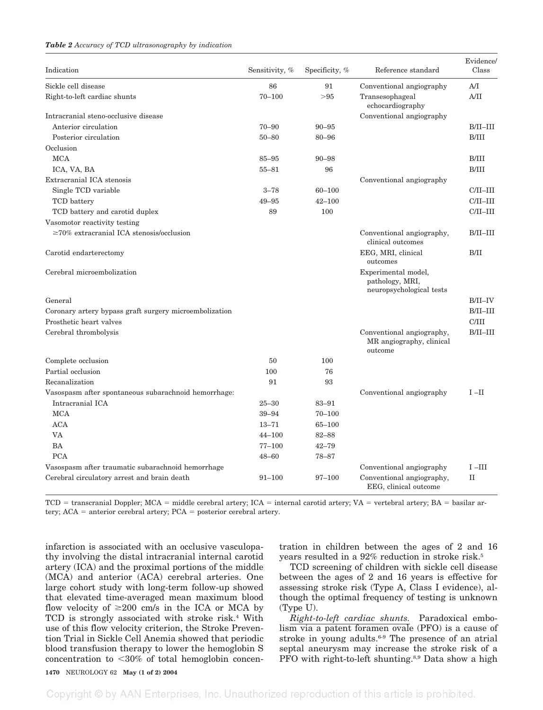#### *Table 2 Accuracy of TCD ultrasonography by indication*

| Indication                                             | Sensitivity, % | Specificity, % | Reference standard                                                 | Evidence/<br>Class |
|--------------------------------------------------------|----------------|----------------|--------------------------------------------------------------------|--------------------|
| Sickle cell disease                                    | 86             | 91             | Conventional angiography                                           | A/I                |
| Right-to-left cardiac shunts                           | $70 - 100$     | > 95           | Transesophageal<br>echocardiography                                | A/II               |
| Intracranial steno-occlusive disease                   |                |                | Conventional angiography                                           |                    |
| Anterior circulation                                   | $70 - 90$      | $90 - 95$      |                                                                    | $B/II-III$         |
| Posterior circulation                                  | $50 - 80$      | $80 - 96$      |                                                                    | <b>B/III</b>       |
| Occlusion                                              |                |                |                                                                    |                    |
| <b>MCA</b>                                             | $85 - 95$      | $90 - 98$      |                                                                    | B/III              |
| ICA, VA, BA                                            | $55 - 81$      | 96             |                                                                    | B/III              |
| Extracranial ICA stenosis                              |                |                | Conventional angiography                                           |                    |
| Single TCD variable                                    | $3 - 78$       | $60 - 100$     |                                                                    | $C/II-III$         |
| TCD battery                                            | $49 - 95$      | $42 - 100$     |                                                                    | $C/II-III$         |
| TCD battery and carotid duplex                         | 89             | 100            |                                                                    | $C/II-III$         |
| Vasomotor reactivity testing                           |                |                |                                                                    |                    |
| $\geq$ 70% extracranial ICA stenosis/occlusion         |                |                | Conventional angiography,<br>clinical outcomes                     | $B/II$ -III        |
| Carotid endarterectomy                                 |                |                | EEG, MRI, clinical<br>outcomes                                     | B/II               |
| Cerebral microembolization                             |                |                | Experimental model,<br>pathology, MRI,<br>neuropsychological tests |                    |
| General                                                |                |                |                                                                    | $B/II$ -IV         |
| Coronary artery bypass graft surgery microembolization |                |                |                                                                    | $B/II-III$         |
| Prosthetic heart valves                                |                |                |                                                                    | C/III              |
| Cerebral thrombolysis                                  |                |                | Conventional angiography,<br>MR angiography, clinical<br>outcome   | $B/II$ -III        |
| Complete occlusion                                     | 50             | 100            |                                                                    |                    |
| Partial occlusion                                      | 100            | 76             |                                                                    |                    |
| Recanalization                                         | 91             | 93             |                                                                    |                    |
| Vasospasm after spontaneous subarachnoid hemorrhage:   |                |                | Conventional angiography                                           | $I-II$             |
| Intracranial ICA                                       | $25 - 30$      | $83 - 91$      |                                                                    |                    |
| <b>MCA</b>                                             | $39 - 94$      | $70 - 100$     |                                                                    |                    |
| <b>ACA</b>                                             | $13 - 71$      | $65 - 100$     |                                                                    |                    |
| <b>VA</b>                                              | $44 - 100$     | $82 - 88$      |                                                                    |                    |
| <b>BA</b>                                              | $77 - 100$     | $42 - 79$      |                                                                    |                    |
| <b>PCA</b>                                             | $48 - 60$      | $78 - 87$      |                                                                    |                    |
| Vasospasm after traumatic subarachnoid hemorrhage      |                |                | Conventional angiography                                           | $I$ -III           |
| Cerebral circulatory arrest and brain death            | $91 - 100$     | $97 - 100$     | Conventional angiography,<br>EEG, clinical outcome                 | $_{II}$            |

TCD = transcranial Doppler; MCA = middle cerebral artery; ICA = internal carotid artery; VA = vertebral artery; BA = basilar artery; ACA = anterior cerebral artery; PCA = posterior cerebral artery.

infarction is associated with an occlusive vasculopathy involving the distal intracranial internal carotid artery (ICA) and the proximal portions of the middle (MCA) and anterior (ACA) cerebral arteries. One large cohort study with long-term follow-up showed that elevated time-averaged mean maximum blood flow velocity of  $\geq 200$  cm/s in the ICA or MCA by TCD is strongly associated with stroke risk.<sup>4</sup> With use of this flow velocity criterion, the Stroke Prevention Trial in Sickle Cell Anemia showed that periodic blood transfusion therapy to lower the hemoglobin S concentration to 30% of total hemoglobin concen-

tration in children between the ages of 2 and 16 years resulted in a 92% reduction in stroke risk.5

TCD screening of children with sickle cell disease between the ages of 2 and 16 years is effective for assessing stroke risk (Type A, Class I evidence), although the optimal frequency of testing is unknown (Type U).

*Right-to-left cardiac shunts.* Paradoxical embolism via a patent foramen ovale (PFO) is a cause of stroke in young adults. $6-9$  The presence of an atrial septal aneurysm may increase the stroke risk of a PFO with right-to-left shunting.<sup>8,9</sup> Data show a high

# **1470** NEUROLOGY 62 **May (1 of 2) 2004**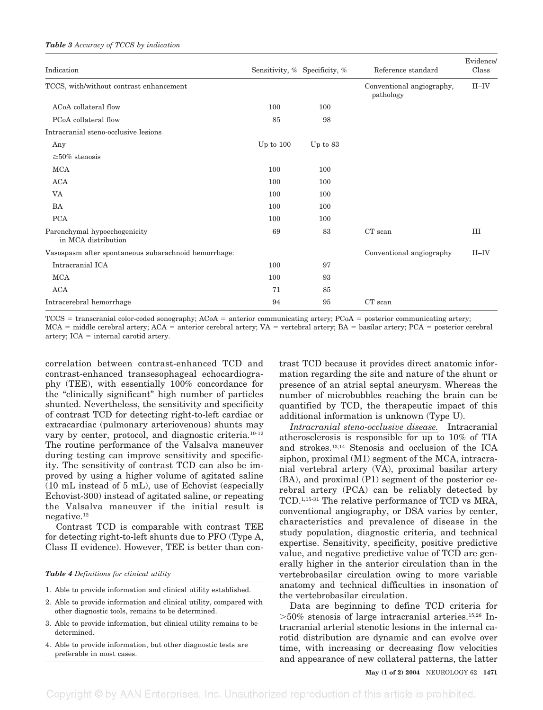| Indication                                           |               | Sensitivity, % Specificity, % | Reference standard                     | Evidence/<br>Class |
|------------------------------------------------------|---------------|-------------------------------|----------------------------------------|--------------------|
| TCCS, with/without contrast enhancement              |               |                               | Conventional angiography,<br>pathology | $II$ -IV           |
| ACoA collateral flow                                 | 100           | 100                           |                                        |                    |
| PCoA collateral flow                                 | 85            | 98                            |                                        |                    |
| Intracranial steno-occlusive lesions                 |               |                               |                                        |                    |
| Any                                                  | $Up$ to $100$ | Up to 83                      |                                        |                    |
| $\geq$ 50% stenosis                                  |               |                               |                                        |                    |
| <b>MCA</b>                                           | 100           | 100                           |                                        |                    |
| <b>ACA</b>                                           | 100           | 100                           |                                        |                    |
| <b>VA</b>                                            | 100           | 100                           |                                        |                    |
| <b>BA</b>                                            | 100           | 100                           |                                        |                    |
| <b>PCA</b>                                           | 100           | 100                           |                                        |                    |
| Parenchymal hypoechogenicity<br>in MCA distribution  | 69            | 83                            | CT scan                                | Ш                  |
| Vasospasm after spontaneous subarachnoid hemorrhage: |               |                               | Conventional angiography               | $II$ -IV           |
| Intracranial ICA                                     | 100           | 97                            |                                        |                    |
| <b>MCA</b>                                           | 100           | 93                            |                                        |                    |
| <b>ACA</b>                                           | 71            | 85                            |                                        |                    |
| Intracerebral hemorrhage                             | 94            | 95                            | CT scan                                |                    |

TCCS = transcranial color-coded sonography; ACoA = anterior communicating artery; PCoA = posterior communicating artery; MCA = middle cerebral artery; ACA = anterior cerebral artery; VA = vertebral artery; BA = basilar artery; PCA = posterior cerebral artery; ICA = internal carotid artery.

correlation between contrast-enhanced TCD and contrast-enhanced transesophageal echocardiography (TEE), with essentially 100% concordance for the "clinically significant" high number of particles shunted. Nevertheless, the sensitivity and specificity of contrast TCD for detecting right-to-left cardiac or extracardiac (pulmonary arteriovenous) shunts may vary by center, protocol, and diagnostic criteria.10-12 The routine performance of the Valsalva maneuver during testing can improve sensitivity and specificity. The sensitivity of contrast TCD can also be improved by using a higher volume of agitated saline (10 mL instead of 5 mL), use of Echovist (especially Echovist-300) instead of agitated saline, or repeating the Valsalva maneuver if the initial result is negative.12

Contrast TCD is comparable with contrast TEE for detecting right-to-left shunts due to PFO (Type A, Class II evidence). However, TEE is better than con-

### *Table 4 Definitions for clinical utility*

- 1. Able to provide information and clinical utility established.
- 2. Able to provide information and clinical utility, compared with other diagnostic tools, remains to be determined.
- 3. Able to provide information, but clinical utility remains to be determined.
- 4. Able to provide information, but other diagnostic tests are preferable in most cases.

trast TCD because it provides direct anatomic information regarding the site and nature of the shunt or presence of an atrial septal aneurysm. Whereas the number of microbubbles reaching the brain can be quantified by TCD, the therapeutic impact of this additional information is unknown (Type U).

*Intracranial steno-occlusive disease.* Intracranial atherosclerosis is responsible for up to 10% of TIA and strokes.13,14 Stenosis and occlusion of the ICA siphon, proximal (M1) segment of the MCA, intracranial vertebral artery (VA), proximal basilar artery (BA), and proximal (P1) segment of the posterior cerebral artery (PCA) can be reliably detected by TCD.<sup>1,15-31</sup> The relative performance of TCD vs MRA, conventional angiography, or DSA varies by center, characteristics and prevalence of disease in the study population, diagnostic criteria, and technical expertise. Sensitivity, specificity, positive predictive value, and negative predictive value of TCD are generally higher in the anterior circulation than in the vertebrobasilar circulation owing to more variable anatomy and technical difficulties in insonation of the vertebrobasilar circulation.

Data are beginning to define TCD criteria for  $>50\%$  stenosis of large intracranial arteries.<sup>15,26</sup> Intracranial arterial stenotic lesions in the internal carotid distribution are dynamic and can evolve over time, with increasing or decreasing flow velocities and appearance of new collateral patterns, the latter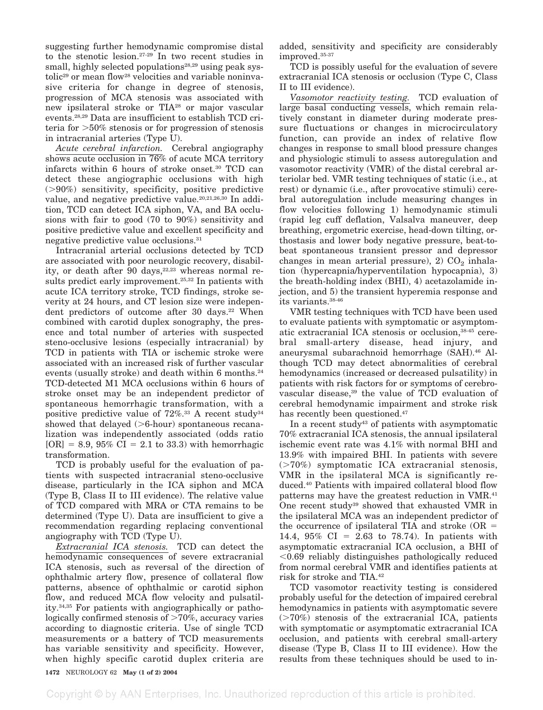suggesting further hemodynamic compromise distal to the stenotic lesion.27-29 In two recent studies in small, highly selected populations<sup>28,29</sup> using peak systolic29 or mean flow28 velocities and variable noninvasive criteria for change in degree of stenosis, progression of MCA stenosis was associated with new ipsilateral stroke or TIA28 or major vascular events.28,29 Data are insufficient to establish TCD criteria for  $>50\%$  stenosis or for progression of stenosis in intracranial arteries (Type U).

*Acute cerebral infarction.* Cerebral angiography shows acute occlusion in 76% of acute MCA territory infarcts within 6 hours of stroke onset.30 TCD can detect these angiographic occlusions with high (90%) sensitivity, specificity, positive predictive value, and negative predictive value.20,21,26,30 In addition, TCD can detect ICA siphon, VA, and BA occlusions with fair to good (70 to 90%) sensitivity and positive predictive value and excellent specificity and negative predictive value occlusions.31

Intracranial arterial occlusions detected by TCD are associated with poor neurologic recovery, disability, or death after 90 days,<sup>22,23</sup> whereas normal results predict early improvement.25,32 In patients with acute ICA territory stroke, TCD findings, stroke severity at 24 hours, and CT lesion size were independent predictors of outcome after 30 days.<sup>22</sup> When combined with carotid duplex sonography, the presence and total number of arteries with suspected steno-occlusive lesions (especially intracranial) by TCD in patients with TIA or ischemic stroke were associated with an increased risk of further vascular events (usually stroke) and death within 6 months.24 TCD-detected M1 MCA occlusions within 6 hours of stroke onset may be an independent predictor of spontaneous hemorrhagic transformation, with a positive predictive value of  $72\%$ .<sup>33</sup> A recent study<sup>34</sup> showed that delayed  $(>6$ -hour) spontaneous recanalization was independently associated (odds ratio  $[OR] = 8.9, 95\% \text{ CI} = 2.1 \text{ to } 33.3$  with hemorrhagic transformation.

TCD is probably useful for the evaluation of patients with suspected intracranial steno-occlusive disease, particularly in the ICA siphon and MCA (Type B, Class II to III evidence). The relative value of TCD compared with MRA or CTA remains to be determined (Type U). Data are insufficient to give a recommendation regarding replacing conventional angiography with TCD (Type U).

*Extracranial ICA stenosis.* TCD can detect the hemodynamic consequences of severe extracranial ICA stenosis, such as reversal of the direction of ophthalmic artery flow, presence of collateral flow patterns, absence of ophthalmic or carotid siphon flow, and reduced MCA flow velocity and pulsatility.34,35 For patients with angiographically or pathologically confirmed stenosis of  $>70\%$ , accuracy varies according to diagnostic criteria. Use of single TCD measurements or a battery of TCD measurements has variable sensitivity and specificity. However, when highly specific carotid duplex criteria are

added, sensitivity and specificity are considerably improved.35-37

TCD is possibly useful for the evaluation of severe extracranial ICA stenosis or occlusion (Type C, Class II to III evidence).

*Vasomotor reactivity testing.* TCD evaluation of large basal conducting vessels, which remain relatively constant in diameter during moderate pressure fluctuations or changes in microcirculatory function, can provide an index of relative flow changes in response to small blood pressure changes and physiologic stimuli to assess autoregulation and vasomotor reactivity (VMR) of the distal cerebral arteriolar bed. VMR testing techniques of static (i.e., at rest) or dynamic (i.e., after provocative stimuli) cerebral autoregulation include measuring changes in flow velocities following 1) hemodynamic stimuli (rapid leg cuff deflation, Valsalva maneuver, deep breathing, ergometric exercise, head-down tilting, orthostasis and lower body negative pressure, beat-tobeat spontaneous transient pressor and depressor changes in mean arterial pressure), 2)  $CO<sub>2</sub>$  inhalation (hypercapnia/hyperventilation hypocapnia), 3) the breath-holding index (BHI), 4) acetazolamide injection, and 5) the transient hyperemia response and its variants.38-46

VMR testing techniques with TCD have been used to evaluate patients with symptomatic or asymptomatic extracranial ICA stenosis or occlusion,38-45 cerebral small-artery disease, head injury, and aneurysmal subarachnoid hemorrhage (SAH).46 Although TCD may detect abnormalities of cerebral hemodynamics (increased or decreased pulsatility) in patients with risk factors for or symptoms of cerebrovascular disease,<sup>39</sup> the value of TCD evaluation of cerebral hemodynamic impairment and stroke risk has recently been questioned.<sup>47</sup>

In a recent study<sup>43</sup> of patients with asymptomatic 70% extracranial ICA stenosis, the annual ipsilateral ischemic event rate was 4.1% with normal BHI and 13.9% with impaired BHI. In patients with severe  $($ >70%) symptomatic ICA extracranial stenosis, VMR in the ipsilateral MCA is significantly reduced.40 Patients with impaired collateral blood flow patterns may have the greatest reduction in VMR.41 One recent study<sup>39</sup> showed that exhausted VMR in the ipsilateral MCA was an independent predictor of the occurrence of ipsilateral TIA and stroke  $(OR =$ 14.4,  $95\%$  CI = 2.63 to 78.74). In patients with asymptomatic extracranial ICA occlusion, a BHI of  $< 0.69$  reliably distinguishes pathologically reduced from normal cerebral VMR and identifies patients at risk for stroke and TIA.42

TCD vasomotor reactivity testing is considered probably useful for the detection of impaired cerebral hemodynamics in patients with asymptomatic severe  $($ >70%) stenosis of the extracranial ICA, patients with symptomatic or asymptomatic extracranial ICA occlusion, and patients with cerebral small-artery disease (Type B, Class II to III evidence). How the results from these techniques should be used to in-

**1472** NEUROLOGY 62 **May (1 of 2) 2004**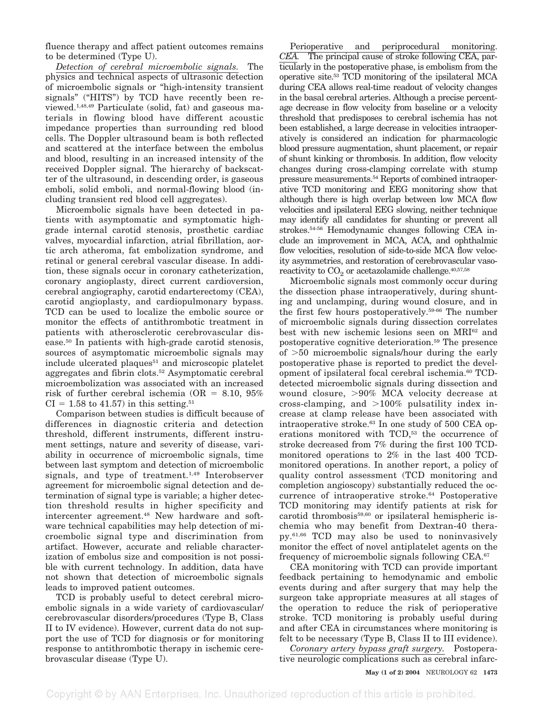fluence therapy and affect patient outcomes remains to be determined (Type U).

*Detection of cerebral microembolic signals.* The physics and technical aspects of ultrasonic detection of microembolic signals or "high-intensity transient signals" ("HITS") by TCD have recently been reviewed.1,48,49 Particulate (solid, fat) and gaseous materials in flowing blood have different acoustic impedance properties than surrounding red blood cells. The Doppler ultrasound beam is both reflected and scattered at the interface between the embolus and blood, resulting in an increased intensity of the received Doppler signal. The hierarchy of backscatter of the ultrasound, in descending order, is gaseous emboli, solid emboli, and normal-flowing blood (including transient red blood cell aggregates).

Microembolic signals have been detected in patients with asymptomatic and symptomatic highgrade internal carotid stenosis, prosthetic cardiac valves, myocardial infarction, atrial fibrillation, aortic arch atheroma, fat embolization syndrome, and retinal or general cerebral vascular disease. In addition, these signals occur in coronary catheterization, coronary angioplasty, direct current cardioversion, cerebral angiography, carotid endarterectomy (CEA), carotid angioplasty, and cardiopulmonary bypass. TCD can be used to localize the embolic source or monitor the effects of antithrombotic treatment in patients with atherosclerotic cerebrovascular disease.50 In patients with high-grade carotid stenosis, sources of asymptomatic microembolic signals may include ulcerated plaques<sup>51</sup> and microscopic platelet aggregates and fibrin clots.52 Asymptomatic cerebral microembolization was associated with an increased risk of further cerebral ischemia (OR =  $8.10, 95\%$  $CI = 1.58$  to 41.57) in this setting.<sup>51</sup>

Comparison between studies is difficult because of differences in diagnostic criteria and detection threshold, different instruments, different instrument settings, nature and severity of disease, variability in occurrence of microembolic signals, time between last symptom and detection of microembolic signals, and type of treatment.<sup>1,49</sup> Interobserver agreement for microembolic signal detection and determination of signal type is variable; a higher detection threshold results in higher specificity and intercenter agreement.48 New hardware and software technical capabilities may help detection of microembolic signal type and discrimination from artifact. However, accurate and reliable characterization of embolus size and composition is not possible with current technology. In addition, data have not shown that detection of microembolic signals leads to improved patient outcomes.

TCD is probably useful to detect cerebral microembolic signals in a wide variety of cardiovascular/ cerebrovascular disorders/procedures (Type B, Class II to IV evidence). However, current data do not support the use of TCD for diagnosis or for monitoring response to antithrombotic therapy in ischemic cerebrovascular disease (Type U).

Perioperative and periprocedural monitoring. *CEA.* The principal cause of stroke following CEA, particularly in the postoperative phase, is embolism from the operative site.53 TCD monitoring of the ipsilateral MCA during CEA allows real-time readout of velocity changes in the basal cerebral arteries. Although a precise percentage decrease in flow velocity from baseline or a velocity threshold that predisposes to cerebral ischemia has not been established, a large decrease in velocities intraoperatively is considered an indication for pharmacologic blood pressure augmentation, shunt placement, or repair of shunt kinking or thrombosis. In addition, flow velocity changes during cross-clamping correlate with stump pressure measurements.54 Reports of combined intraoperative TCD monitoring and EEG monitoring show that although there is high overlap between low MCA flow velocities and ipsilateral EEG slowing, neither technique may identify all candidates for shunting or prevent all strokes.54-56 Hemodynamic changes following CEA include an improvement in MCA, ACA, and ophthalmic flow velocities, resolution of side-to-side MCA flow velocity asymmetries, and restoration of cerebrovascular vasoreactivity to  $CO<sub>2</sub>$  or acetazolamide challenge.<sup>40,57,58</sup>

Microembolic signals most commonly occur during the dissection phase intraoperatively, during shunting and unclamping, during wound closure, and in the first few hours postoperatively.59-66 The number of microembolic signals during dissection correlates best with new ischemic lesions seen on MRI<sup>62</sup> and postoperative cognitive deterioration.59 The presence of  $>50$  microembolic signals/hour during the early postoperative phase is reported to predict the development of ipsilateral focal cerebral ischemia.60 TCDdetected microembolic signals during dissection and wound closure, 90% MCA velocity decrease at cross-clamping, and  $>100\%$  pulsatility index increase at clamp release have been associated with intraoperative stroke.63 In one study of 500 CEA operations monitored with TCD,<sup>53</sup> the occurrence of stroke decreased from 7% during the first 100 TCDmonitored operations to 2% in the last 400 TCDmonitored operations. In another report, a policy of quality control assessment (TCD monitoring and completion angioscopy) substantially reduced the occurrence of intraoperative stroke.64 Postoperative TCD monitoring may identify patients at risk for carotid thrombosis59,60 or ipsilateral hemispheric ischemia who may benefit from Dextran-40 therapy.61,66 TCD may also be used to noninvasively monitor the effect of novel antiplatelet agents on the frequency of microembolic signals following CEA.67

CEA monitoring with TCD can provide important feedback pertaining to hemodynamic and embolic events during and after surgery that may help the surgeon take appropriate measures at all stages of the operation to reduce the risk of perioperative stroke. TCD monitoring is probably useful during and after CEA in circumstances where monitoring is felt to be necessary (Type B, Class II to III evidence).

*Coronary artery bypass graft surgery.* Postoperative neurologic complications such as cerebral infarc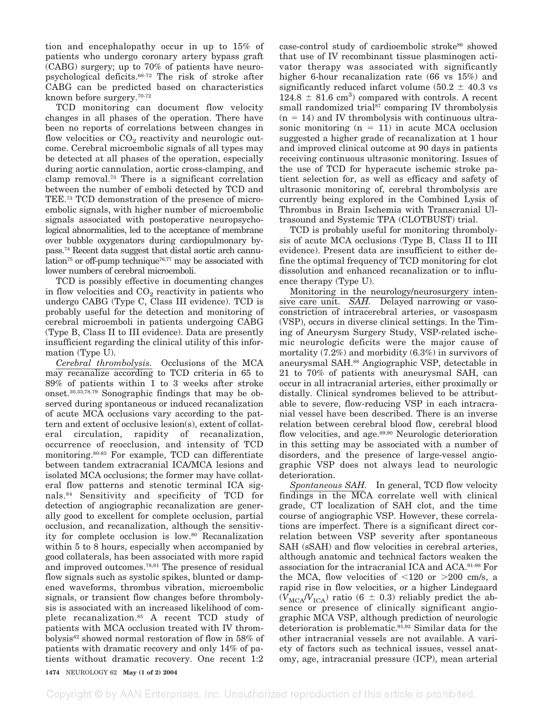tion and encephalopathy occur in up to 15% of patients who undergo coronary artery bypass graft (CABG) surgery; up to 70% of patients have neuropsychological deficits.68-72 The risk of stroke after CABG can be predicted based on characteristics known before surgery.70-72

TCD monitoring can document flow velocity changes in all phases of the operation. There have been no reports of correlations between changes in flow velocities or  $CO<sub>2</sub>$  reactivity and neurologic outcome. Cerebral microembolic signals of all types may be detected at all phases of the operation, especially during aortic cannulation, aortic cross-clamping, and clamp removal.73 There is a significant correlation between the number of emboli detected by TCD and TEE.73 TCD demonstration of the presence of microembolic signals, with higher number of microembolic signals associated with postoperative neuropsychological abnormalities, led to the acceptance of membrane over bubble oxygenators during cardiopulmonary bypass.74 Recent data suggest that distal aortic arch cannulation<sup>75</sup> or off-pump technique<sup>76,77</sup> may be associated with lower numbers of cerebral microemboli.

TCD is possibly effective in documenting changes in flow velocities and  $CO<sub>2</sub>$  reactivity in patients who undergo CABG (Type C, Class III evidence). TCD is probably useful for the detection and monitoring of cerebral microemboli in patients undergoing CABG (Type B, Class II to III evidence). Data are presently insufficient regarding the clinical utility of this information (Type U).

*Cerebral thrombolysis.* Occlusions of the MCA may recanalize according to TCD criteria in 65 to 89% of patients within 1 to 3 weeks after stroke onset.30,33,78,79 Sonographic findings that may be observed during spontaneous or induced recanalization of acute MCA occlusions vary according to the pattern and extent of occlusive lesion(s), extent of collateral circulation, rapidity of recanalization, occurrence of reocclusion, and intensity of TCD monitoring.80-83 For example, TCD can differentiate between tandem extracranial ICA/MCA lesions and isolated MCA occlusions; the former may have collateral flow patterns and stenotic terminal ICA signals.84 Sensitivity and specificity of TCD for detection of angiographic recanalization are generally good to excellent for complete occlusion, partial occlusion, and recanalization, although the sensitivity for complete occlusion is low.<sup>80</sup> Recanalization within 5 to 8 hours, especially when accompanied by good collaterals, has been associated with more rapid and improved outcomes.78,81 The presence of residual flow signals such as systolic spikes, blunted or dampened waveforms, thrombus vibration, microembolic signals, or transient flow changes before thrombolysis is associated with an increased likelihood of complete recanalization.<sup>85</sup> A recent TCD study of patients with MCA occlusion treated with IV thrombolysis82 showed normal restoration of flow in 58% of patients with dramatic recovery and only 14% of patients without dramatic recovery. One recent 1:2

case-control study of cardioembolic stroke<sup>86</sup> showed that use of IV recombinant tissue plasminogen activator therapy was associated with significantly higher 6-hour recanalization rate (66 vs 15%) and significantly reduced infarct volume (50.2  $\pm$  40.3 vs  $124.8 \pm 81.6$  cm<sup>3</sup>) compared with controls. A recent small randomized trial $87$  comparing IV thrombolysis  $(n = 14)$  and IV thrombolysis with continuous ultrasonic monitoring  $(n = 11)$  in acute MCA occlusion suggested a higher grade of recanalization at 1 hour and improved clinical outcome at 90 days in patients receiving continuous ultrasonic monitoring. Issues of the use of TCD for hyperacute ischemic stroke patient selection for, as well as efficacy and safety of ultrasonic monitoring of, cerebral thrombolysis are currently being explored in the Combined Lysis of Thrombus in Brain Ischemia with Transcranial Ultrasound and Systemic TPA (CLOTBUST) trial.

TCD is probably useful for monitoring thrombolysis of acute MCA occlusions (Type B, Class II to III evidence). Present data are insufficient to either define the optimal frequency of TCD monitoring for clot dissolution and enhanced recanalization or to influence therapy (Type U).

Monitoring in the neurology/neurosurgery intensive care unit. *SAH.* Delayed narrowing or vasoconstriction of intracerebral arteries, or vasospasm (VSP), occurs in diverse clinical settings. In the Timing of Aneurysm Surgery Study, VSP-related ischemic neurologic deficits were the major cause of mortality (7.2%) and morbidity (6.3%) in survivors of aneurysmal SAH.88 Angiographic VSP, detectable in 21 to 70% of patients with aneurysmal SAH, can occur in all intracranial arteries, either proximally or distally. Clinical syndromes believed to be attributable to severe, flow-reducing VSP in each intracranial vessel have been described. There is an inverse relation between cerebral blood flow, cerebral blood flow velocities, and age.<sup>89,90</sup> Neurologic deterioration in this setting may be associated with a number of disorders, and the presence of large-vessel angiographic VSP does not always lead to neurologic deterioration.

*Spontaneous SAH.* In general, TCD flow velocity findings in the MCA correlate well with clinical grade, CT localization of SAH clot, and the time course of angiographic VSP. However, these correlations are imperfect. There is a significant direct correlation between VSP severity after spontaneous SAH (sSAH) and flow velocities in cerebral arteries, although anatomic and technical factors weaken the association for the intracranial ICA and ACA.91-98 For the MCA, flow velocities of  $\langle 120 \text{ or } 200 \text{ cm/s}, a$ rapid rise in flow velocities, or a higher Lindegaard  $(V_{\text{MCA}}/V_{\text{ICA}})$  ratio (6  $\pm$  0.3) reliably predict the absence or presence of clinically significant angiographic MCA VSP, although prediction of neurologic deterioration is problematic.91,92 Similar data for the other intracranial vessels are not available. A variety of factors such as technical issues, vessel anatomy, age, intracranial pressure (ICP), mean arterial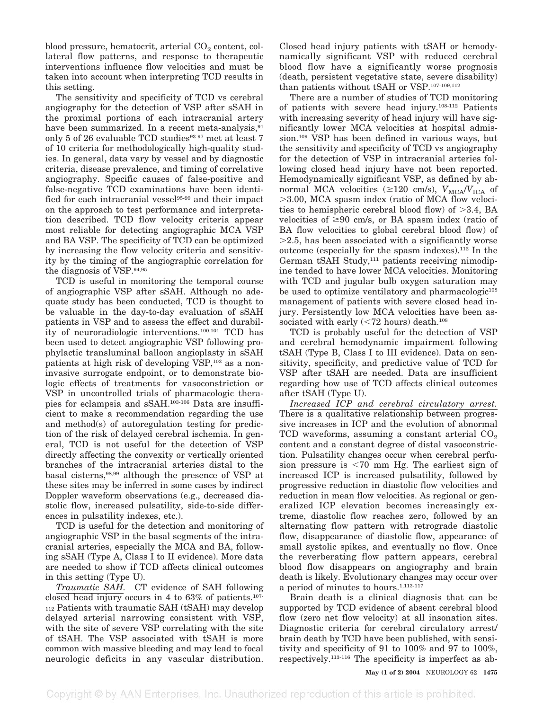blood pressure, hematocrit, arterial  $CO<sub>2</sub>$  content, collateral flow patterns, and response to therapeutic interventions influence flow velocities and must be taken into account when interpreting TCD results in this setting.

The sensitivity and specificity of TCD vs cerebral angiography for the detection of VSP after sSAH in the proximal portions of each intracranial artery have been summarized. In a recent meta-analysis,<sup>91</sup> only 5 of 26 evaluable TCD studies<sup>93-97</sup> met at least 7 of 10 criteria for methodologically high-quality studies. In general, data vary by vessel and by diagnostic criteria, disease prevalence, and timing of correlative angiography. Specific causes of false-positive and false-negative TCD examinations have been identified for each intracranial vessel95-99 and their impact on the approach to test performance and interpretation described. TCD flow velocity criteria appear most reliable for detecting angiographic MCA VSP and BA VSP. The specificity of TCD can be optimized by increasing the flow velocity criteria and sensitivity by the timing of the angiographic correlation for the diagnosis of VSP.94,95

TCD is useful in monitoring the temporal course of angiographic VSP after sSAH. Although no adequate study has been conducted, TCD is thought to be valuable in the day-to-day evaluation of sSAH patients in VSP and to assess the effect and durability of neuroradiologic interventions.100,101 TCD has been used to detect angiographic VSP following prophylactic transluminal balloon angioplasty in sSAH patients at high risk of developing VSP,<sup>102</sup> as a noninvasive surrogate endpoint, or to demonstrate biologic effects of treatments for vasoconstriction or VSP in uncontrolled trials of pharmacologic therapies for eclampsia and sSAH.103-106 Data are insufficient to make a recommendation regarding the use and method(s) of autoregulation testing for prediction of the risk of delayed cerebral ischemia. In general, TCD is not useful for the detection of VSP directly affecting the convexity or vertically oriented branches of the intracranial arteries distal to the basal cisterns,98,99 although the presence of VSP at these sites may be inferred in some cases by indirect Doppler waveform observations (e.g., decreased diastolic flow, increased pulsatility, side-to-side differences in pulsatility indexes, etc.).

TCD is useful for the detection and monitoring of angiographic VSP in the basal segments of the intracranial arteries, especially the MCA and BA, following sSAH (Type A, Class I to II evidence). More data are needed to show if TCD affects clinical outcomes in this setting (Type U).

*Traumatic SAH.* CT evidence of SAH following closed head injury occurs in 4 to  $63\%$  of patients.<sup>107-</sup> <sup>112</sup> Patients with traumatic SAH (tSAH) may develop delayed arterial narrowing consistent with VSP, with the site of severe VSP correlating with the site of tSAH. The VSP associated with tSAH is more common with massive bleeding and may lead to focal neurologic deficits in any vascular distribution. Closed head injury patients with tSAH or hemodynamically significant VSP with reduced cerebral blood flow have a significantly worse prognosis (death, persistent vegetative state, severe disability) than patients without tSAH or VSP.107-109,112

There are a number of studies of TCD monitoring of patients with severe head injury.108-112 Patients with increasing severity of head injury will have significantly lower MCA velocities at hospital admission.109 VSP has been defined in various ways, but the sensitivity and specificity of TCD vs angiography for the detection of VSP in intracranial arteries following closed head injury have not been reported. Hemodynamically significant VSP, as defined by abnormal MCA velocities ( $\geq$ 120 cm/s),  $V_{\text{MCA}}/V_{\text{ICA}}$  of 3.00, MCA spasm index (ratio of MCA flow velocities to hemispheric cerebral blood flow) of  $>3.4$ , BA velocities of  $\geq 90$  cm/s, or BA spasm index (ratio of BA flow velocities to global cerebral blood flow) of  $>$ 2.5, has been associated with a significantly worse outcome (especially for the spasm indexes).112 In the German  $tSAH$  Study,<sup>111</sup> patients receiving nimodipine tended to have lower MCA velocities. Monitoring with TCD and jugular bulb oxygen saturation may be used to optimize ventilatory and pharmacologic<sup>108</sup> management of patients with severe closed head injury. Persistently low MCA velocities have been associated with early  $(< 72$  hours) death.<sup>108</sup>

TCD is probably useful for the detection of VSP and cerebral hemodynamic impairment following tSAH (Type B, Class I to III evidence). Data on sensitivity, specificity, and predictive value of TCD for VSP after tSAH are needed. Data are insufficient regarding how use of TCD affects clinical outcomes after tSAH (Type U).

*Increased ICP and cerebral circulatory arrest.* There is a qualitative relationship between progressive increases in ICP and the evolution of abnormal TCD waveforms, assuming a constant arterial  $CO<sub>2</sub>$ content and a constant degree of distal vasoconstriction. Pulsatility changes occur when cerebral perfusion pressure is  $\leq 70$  mm Hg. The earliest sign of increased ICP is increased pulsatility, followed by progressive reduction in diastolic flow velocities and reduction in mean flow velocities. As regional or generalized ICP elevation becomes increasingly extreme, diastolic flow reaches zero, followed by an alternating flow pattern with retrograde diastolic flow, disappearance of diastolic flow, appearance of small systolic spikes, and eventually no flow. Once the reverberating flow pattern appears, cerebral blood flow disappears on angiography and brain death is likely. Evolutionary changes may occur over a period of minutes to hours.1,113-117

Brain death is a clinical diagnosis that can be supported by TCD evidence of absent cerebral blood flow (zero net flow velocity) at all insonation sites. Diagnostic criteria for cerebral circulatory arrest/ brain death by TCD have been published, with sensitivity and specificity of 91 to 100% and 97 to 100%, respectively.113-116 The specificity is imperfect as ab-

**May (1 of 2) 2004** NEUROLOGY 62 **1475**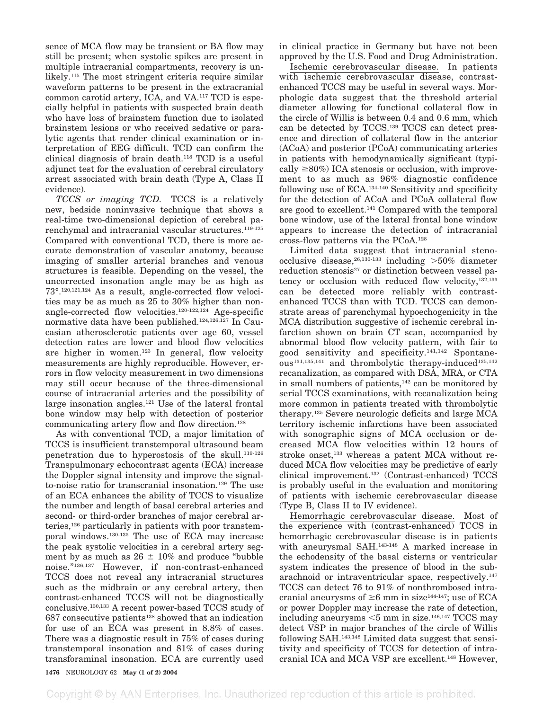sence of MCA flow may be transient or BA flow may still be present; when systolic spikes are present in multiple intracranial compartments, recovery is unlikely.115 The most stringent criteria require similar waveform patterns to be present in the extracranial common carotid artery, ICA, and VA.117 TCD is especially helpful in patients with suspected brain death who have loss of brainstem function due to isolated brainstem lesions or who received sedative or paralytic agents that render clinical examination or interpretation of EEG difficult. TCD can confirm the clinical diagnosis of brain death.118 TCD is a useful adjunct test for the evaluation of cerebral circulatory arrest associated with brain death (Type A, Class II evidence).

*TCCS or imaging TCD.* TCCS is a relatively new, bedside noninvasive technique that shows a real-time two-dimensional depiction of cerebral parenchymal and intracranial vascular structures.119-125 Compared with conventional TCD, there is more accurate demonstration of vascular anatomy, because imaging of smaller arterial branches and venous structures is feasible. Depending on the vessel, the uncorrected insonation angle may be as high as 73°. 120,121,124 As a result, angle-corrected flow velocities may be as much as 25 to 30% higher than nonangle-corrected flow velocities.120-122,124 Age-specific normative data have been published.124,126,127 In Caucasian atherosclerotic patients over age 60, vessel detection rates are lower and blood flow velocities are higher in women.<sup>123</sup> In general, flow velocity measurements are highly reproducible. However, errors in flow velocity measurement in two dimensions may still occur because of the three-dimensional course of intracranial arteries and the possibility of large insonation angles.121 Use of the lateral frontal bone window may help with detection of posterior communicating artery flow and flow direction.128

As with conventional TCD, a major limitation of TCCS is insufficient transtemporal ultrasound beam penetration due to hyperostosis of the skull.119-126 Transpulmonary echocontrast agents (ECA) increase the Doppler signal intensity and improve the signalto-noise ratio for transcranial insonation.129 The use of an ECA enhances the ability of TCCS to visualize the number and length of basal cerebral arteries and second- or third-order branches of major cerebral arteries,126 particularly in patients with poor transtemporal windows.130-135 The use of ECA may increase the peak systolic velocities in a cerebral artery segment by as much as  $26 \pm 10\%$  and produce "bubble" noise."136,137 However, if non-contrast-enhanced TCCS does not reveal any intracranial structures such as the midbrain or any cerebral artery, then contrast-enhanced TCCS will not be diagnostically conclusive.130,133 A recent power-based TCCS study of 687 consecutive patients<sup>138</sup> showed that an indication for use of an ECA was present in 8.8% of cases. There was a diagnostic result in 75% of cases during transtemporal insonation and 81% of cases during transforaminal insonation. ECA are currently used

in clinical practice in Germany but have not been approved by the U.S. Food and Drug Administration.

Ischemic cerebrovascular disease. In patients with ischemic cerebrovascular disease, contrastenhanced TCCS may be useful in several ways. Morphologic data suggest that the threshold arterial diameter allowing for functional collateral flow in the circle of Willis is between 0.4 and 0.6 mm, which can be detected by TCCS.139 TCCS can detect presence and direction of collateral flow in the anterior (ACoA) and posterior (PCoA) communicating arteries in patients with hemodynamically significant (typically  $\geq 80\%$ ) ICA stenosis or occlusion, with improvement to as much as 96% diagnostic confidence following use of ECA.134-140 Sensitivity and specificity for the detection of ACoA and PCoA collateral flow are good to excellent.141 Compared with the temporal bone window, use of the lateral frontal bone window appears to increase the detection of intracranial cross-flow patterns via the PCoA.128

Limited data suggest that intracranial stenoocclusive disease,  $26,130-133$  including  $>50\%$  diameter reduction stenosis<sup>27</sup> or distinction between vessel patency or occlusion with reduced flow velocity,<sup>132,133</sup> can be detected more reliably with contrastenhanced TCCS than with TCD. TCCS can demonstrate areas of parenchymal hypoechogenicity in the MCA distribution suggestive of ischemic cerebral infarction shown on brain CT scan, accompanied by abnormal blood flow velocity pattern, with fair to good sensitivity and specificity.141,142 Spontaneous<sup>131,135,141</sup> and thrombolytic therapy-induced<sup>135,142</sup> recanalization, as compared with DSA, MRA, or CTA in small numbers of patients,<sup>142</sup> can be monitored by serial TCCS examinations, with recanalization being more common in patients treated with thrombolytic therapy.135 Severe neurologic deficits and large MCA territory ischemic infarctions have been associated with sonographic signs of MCA occlusion or decreased MCA flow velocities within 12 hours of stroke onset,<sup>133</sup> whereas a patent MCA without reduced MCA flow velocities may be predictive of early clinical improvement.132 (Contrast-enhanced) TCCS is probably useful in the evaluation and monitoring of patients with ischemic cerebrovascular disease (Type B, Class II to IV evidence).

Hemorrhagic cerebrovascular disease. Most of the experience with (contrast-enhanced) TCCS in hemorrhagic cerebrovascular disease is in patients with aneurysmal SAH.143-148 A marked increase in the echodensity of the basal cisterns or ventricular system indicates the presence of blood in the subarachnoid or intraventricular space, respectively.147 TCCS can detect 76 to 91% of nonthrombosed intracranial aneurysms of  $\geq 6$  mm in size<sup>144-147</sup>; use of ECA or power Doppler may increase the rate of detection, including aneurysms  $<$ 5 mm in size.<sup>146,147</sup> TCCS may detect VSP in major branches of the circle of Willis following SAH.143,148 Limited data suggest that sensitivity and specificity of TCCS for detection of intracranial ICA and MCA VSP are excellent.148 However,

**1476** NEUROLOGY 62 **May (1 of 2) 2004**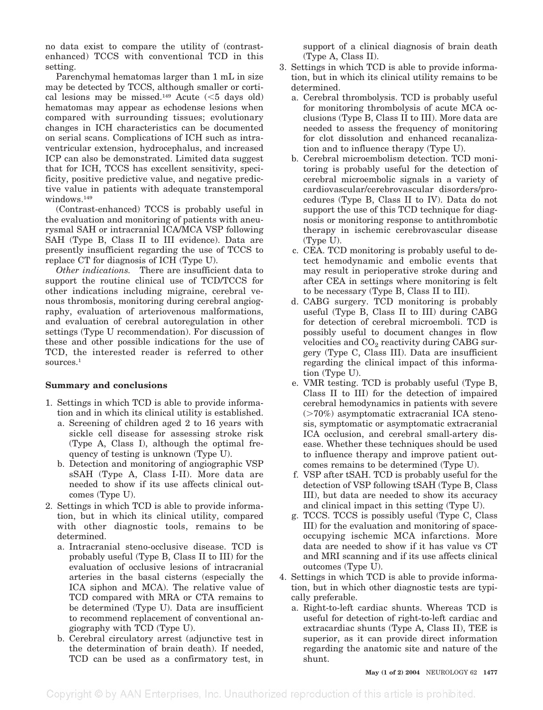no data exist to compare the utility of (contrastenhanced) TCCS with conventional TCD in this setting.

Parenchymal hematomas larger than 1 mL in size may be detected by TCCS, although smaller or cortical lesions may be missed.<sup>149</sup> Acute  $(<5$  days old) hematomas may appear as echodense lesions when compared with surrounding tissues; evolutionary changes in ICH characteristics can be documented on serial scans. Complications of ICH such as intraventricular extension, hydrocephalus, and increased ICP can also be demonstrated. Limited data suggest that for ICH, TCCS has excellent sensitivity, specificity, positive predictive value, and negative predictive value in patients with adequate transtemporal windows.<sup>149</sup>

(Contrast-enhanced) TCCS is probably useful in the evaluation and monitoring of patients with aneurysmal SAH or intracranial ICA/MCA VSP following SAH (Type B, Class II to III evidence). Data are presently insufficient regarding the use of TCCS to replace CT for diagnosis of ICH (Type U).

*Other indications.* There are insufficient data to support the routine clinical use of TCD/TCCS for other indications including migraine, cerebral venous thrombosis, monitoring during cerebral angiography, evaluation of arteriovenous malformations, and evaluation of cerebral autoregulation in other settings (Type U recommendation). For discussion of these and other possible indications for the use of TCD, the interested reader is referred to other sources.1

# **Summary and conclusions**

- 1. Settings in which TCD is able to provide information and in which its clinical utility is established. a. Screening of children aged 2 to 16 years with sickle cell disease for assessing stroke risk (Type A, Class I), although the optimal frequency of testing is unknown (Type U).
	- b. Detection and monitoring of angiographic VSP sSAH (Type A, Class I-II). More data are needed to show if its use affects clinical outcomes (Type U).
- 2. Settings in which TCD is able to provide information, but in which its clinical utility, compared with other diagnostic tools, remains to be determined.
	- a. Intracranial steno-occlusive disease. TCD is probably useful (Type B, Class II to III) for the evaluation of occlusive lesions of intracranial arteries in the basal cisterns (especially the ICA siphon and MCA). The relative value of TCD compared with MRA or CTA remains to be determined (Type U). Data are insufficient to recommend replacement of conventional angiography with TCD (Type U).
	- b. Cerebral circulatory arrest (adjunctive test in the determination of brain death). If needed, TCD can be used as a confirmatory test, in

support of a clinical diagnosis of brain death (Type A, Class II).

- 3. Settings in which TCD is able to provide information, but in which its clinical utility remains to be determined.
	- a. Cerebral thrombolysis. TCD is probably useful for monitoring thrombolysis of acute MCA occlusions (Type B, Class II to III). More data are needed to assess the frequency of monitoring for clot dissolution and enhanced recanalization and to influence therapy (Type U).
	- b. Cerebral microembolism detection. TCD monitoring is probably useful for the detection of cerebral microembolic signals in a variety of cardiovascular/cerebrovascular disorders/procedures (Type B, Class II to IV). Data do not support the use of this TCD technique for diagnosis or monitoring response to antithrombotic therapy in ischemic cerebrovascular disease (Type U).
	- c. CEA. TCD monitoring is probably useful to detect hemodynamic and embolic events that may result in perioperative stroke during and after CEA in settings where monitoring is felt to be necessary (Type B, Class II to III).
	- d. CABG surgery. TCD monitoring is probably useful (Type B, Class II to III) during CABG for detection of cerebral microemboli. TCD is possibly useful to document changes in flow velocities and  $CO<sub>2</sub>$  reactivity during CABG surgery (Type C, Class III). Data are insufficient regarding the clinical impact of this information (Type U).
	- e. VMR testing. TCD is probably useful (Type B, Class II to III) for the detection of impaired cerebral hemodynamics in patients with severe  $($ >70%) asymptomatic extracranial ICA stenosis, symptomatic or asymptomatic extracranial ICA occlusion, and cerebral small-artery disease. Whether these techniques should be used to influence therapy and improve patient outcomes remains to be determined (Type U).
	- f. VSP after tSAH. TCD is probably useful for the detection of VSP following tSAH (Type B, Class III), but data are needed to show its accuracy and clinical impact in this setting (Type U).
	- g. TCCS. TCCS is possibly useful (Type C, Class III) for the evaluation and monitoring of spaceoccupying ischemic MCA infarctions. More data are needed to show if it has value vs CT and MRI scanning and if its use affects clinical outcomes (Type U).
- 4. Settings in which TCD is able to provide information, but in which other diagnostic tests are typically preferable.
	- a. Right-to-left cardiac shunts. Whereas TCD is useful for detection of right-to-left cardiac and extracardiac shunts (Type A, Class II), TEE is superior, as it can provide direct information regarding the anatomic site and nature of the shunt.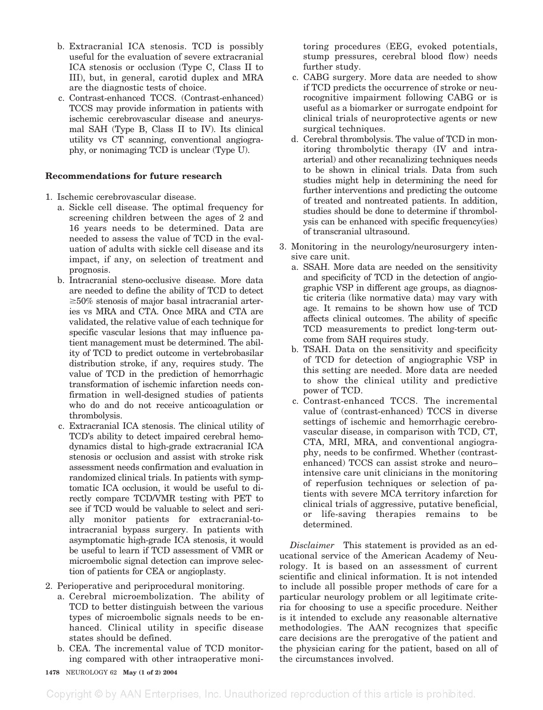- b. Extracranial ICA stenosis. TCD is possibly useful for the evaluation of severe extracranial ICA stenosis or occlusion (Type C, Class II to III), but, in general, carotid duplex and MRA are the diagnostic tests of choice.
- c. Contrast-enhanced TCCS. (Contrast-enhanced) TCCS may provide information in patients with ischemic cerebrovascular disease and aneurysmal SAH (Type B, Class II to IV). Its clinical utility vs CT scanning, conventional angiography, or nonimaging TCD is unclear (Type U).

# **Recommendations for future research**

- 1. Ischemic cerebrovascular disease.
	- a. Sickle cell disease. The optimal frequency for screening children between the ages of 2 and 16 years needs to be determined. Data are needed to assess the value of TCD in the evaluation of adults with sickle cell disease and its impact, if any, on selection of treatment and prognosis.
	- b. Intracranial steno-occlusive disease. More data are needed to define the ability of TCD to detect  $\geq$ 50% stenosis of major basal intracranial arteries vs MRA and CTA. Once MRA and CTA are validated, the relative value of each technique for specific vascular lesions that may influence patient management must be determined. The ability of TCD to predict outcome in vertebrobasilar distribution stroke, if any, requires study. The value of TCD in the prediction of hemorrhagic transformation of ischemic infarction needs confirmation in well-designed studies of patients who do and do not receive anticoagulation or thrombolysis.
	- c. Extracranial ICA stenosis. The clinical utility of TCD's ability to detect impaired cerebral hemodynamics distal to high-grade extracranial ICA stenosis or occlusion and assist with stroke risk assessment needs confirmation and evaluation in randomized clinical trials. In patients with symptomatic ICA occlusion, it would be useful to directly compare TCD/VMR testing with PET to see if TCD would be valuable to select and serially monitor patients for extracranial-tointracranial bypass surgery. In patients with asymptomatic high-grade ICA stenosis, it would be useful to learn if TCD assessment of VMR or microembolic signal detection can improve selection of patients for CEA or angioplasty.
- 2. Perioperative and periprocedural monitoring.
	- a. Cerebral microembolization. The ability of TCD to better distinguish between the various types of microembolic signals needs to be enhanced. Clinical utility in specific disease states should be defined.
	- b. CEA. The incremental value of TCD monitoring compared with other intraoperative moni-

toring procedures (EEG, evoked potentials, stump pressures, cerebral blood flow) needs further study.

- c. CABG surgery. More data are needed to show if TCD predicts the occurrence of stroke or neurocognitive impairment following CABG or is useful as a biomarker or surrogate endpoint for clinical trials of neuroprotective agents or new surgical techniques.
- d. Cerebral thrombolysis. The value of TCD in monitoring thrombolytic therapy (IV and intraarterial) and other recanalizing techniques needs to be shown in clinical trials. Data from such studies might help in determining the need for further interventions and predicting the outcome of treated and nontreated patients. In addition, studies should be done to determine if thrombolysis can be enhanced with specific frequency(ies) of transcranial ultrasound.
- 3. Monitoring in the neurology/neurosurgery intensive care unit.
	- a. SSAH. More data are needed on the sensitivity and specificity of TCD in the detection of angiographic VSP in different age groups, as diagnostic criteria (like normative data) may vary with age. It remains to be shown how use of TCD affects clinical outcomes. The ability of specific TCD measurements to predict long-term outcome from SAH requires study.
	- b. TSAH. Data on the sensitivity and specificity of TCD for detection of angiographic VSP in this setting are needed. More data are needed to show the clinical utility and predictive power of TCD.
	- c. Contrast-enhanced TCCS. The incremental value of (contrast-enhanced) TCCS in diverse settings of ischemic and hemorrhagic cerebrovascular disease, in comparison with TCD, CT, CTA, MRI, MRA, and conventional angiography, needs to be confirmed. Whether (contrastenhanced) TCCS can assist stroke and neuro– intensive care unit clinicians in the monitoring of reperfusion techniques or selection of patients with severe MCA territory infarction for clinical trials of aggressive, putative beneficial, or life-saving therapies remains to be determined.

*Disclaimer* This statement is provided as an educational service of the American Academy of Neurology. It is based on an assessment of current scientific and clinical information. It is not intended to include all possible proper methods of care for a particular neurology problem or all legitimate criteria for choosing to use a specific procedure. Neither is it intended to exclude any reasonable alternative methodologies. The AAN recognizes that specific care decisions are the prerogative of the patient and the physician caring for the patient, based on all of the circumstances involved.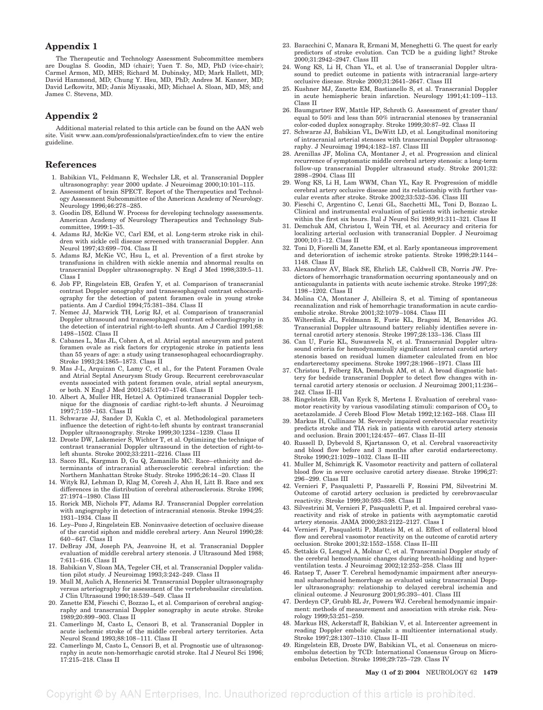## **Appendix 1**

The Therapeutic and Technology Assessment Subcommittee members are Douglas S. Goodin, MD (chair); Yuen T. So, MD, PhD (vice-chair); Carmel Armon, MD, MHS; Richard M. Dubinsky, MD; Mark Hallett, MD; David Hammond, MD; Chung Y. Hsu, MD, PhD; Andres M. Kanner, MD; David Lefkowitz, MD; Janis Miyasaki, MD; Michael A. Sloan, MD, MS; and James C. Stevens, MD.

# **Appendix 2**

Additional material related to this article can be found on the AAN web site. Visit www.aan.com/professionals/practice/index.cfm to view the entire guideline.

#### **References**

- 1. Babikian VL, Feldmann E, Wechsler LR, et al. Transcranial Doppler ultrasonography: year 2000 update. J Neuroimag 2000;10:101–115.
- 2. Assessment of brain SPECT. Report of the Therapeutics and Technology Assessment Subcommittee of the American Academy of Neurology. Neurology 1996;46:278–285.
- 3. Goodin DS, Edlund W. Process for developing technology assessments. American Academy of Neurology Therapeutics and Technology Subcommittee, 1999:1–35.
- 4. Adams RJ, McKie VC, Carl EM, et al. Long-term stroke risk in children with sickle cell disease screened with transcranial Doppler. Ann Neurol 1997;43:699–704. Class II
- 5. Adams RJ, McKie VC, Hsu L, et al. Prevention of a first stroke by transfusions in children with sickle anemia and abnormal results on transcranial Doppler ultrasonography. N Engl J Med 1998;339:5–11. Class I
- 6. Job FP, Ringelstein EB, Grafen Y, et al. Comparison of transcranial contrast Doppler sonography and transesophageal contrast echocardiography for the detection of patent foramen ovale in young stroke patients. Am J Cardiol 1994;75:381–384. Class II
- 7. Nemec JJ, Marwick TH, Lorig RJ, et al. Comparison of transcranial Doppler ultrasound and transesophageal contrast echocardiography in the detection of interatrial right-to-left shunts. Am J Cardiol 1991;68: 1498–1502. Class II
- 8. Cabanes L, Mas JL, Cohen A, et al. Atrial septal aneurysm and patent foramen ovale as risk factors for cryptogenic stroke in patients less than 55 years of age: a study using transesophageal echocardiography. Stroke 1993;24:1865–1873. Class II
- 9. Mas J-L, Arquizan C, Lamy C, et al., for the Patent Foramen Ovale and Atrial Septal Aneurysm Study Group. Recurrent cerebrovascular events associated with patent foramen ovale, atrial septal aneurysm, or both. N Engl J Med 2001;345:1740–1746. Class II
- 10. Albert A, Muller HR, Hetzel A. Optimized transcranial Doppler technique for the diagnosis of cardiac right-to-left shunts. J Neuroimag 1997;7:159–163. Class II
- 11. Schwarze JJ, Sander D, Kukla C, et al. Methodological parameters influence the detection of right-to-left shunts by contrast transcranial Doppler ultrasonography. Stroke 1999;30:1234–1239. Class II
- 12. Droste DW, Lakemeier S, Wichter T, et al. Optimizing the technique of contrast transcranial Doppler ultrasound in the detection of right-toleft shunts. Stroke 2002;33:2211–2216. Class III
- 13. Sacco RL, Kargman D, Gu Q, Zamanillo MC. Race–ethnicity and determinants of intracranial atherosclerotic cerebral infarction: the Northern Manhattan Stroke Study. Stroke 1995;26:14–20. Class II
- 14. Wityk RJ, Lehman D, Klag M, Coresh J, Ahn H, Litt B. Race and sex differences in the distribution of cerebral atherosclerosis. Stroke 1996; 27:1974–1980. Class III
- 15. Rorick MB, Nichols FT, Adams RJ. Transcranial Doppler correlation with angiography in detection of intracranial stenosis. Stroke 1994;25: 1931–1934. Class II
- 16. Ley–Pozo J, Ringelstein EB. Noninvasive detection of occlusive disease of the carotid siphon and middle cerebral artery. Ann Neurol 1990;28: 640–647. Class II
- 17. DeBray JM, Joseph PA, Jeanvoine H, et al. Transcranial Doppler evaluation of middle cerebral artery stenosis. J Ultrasound Med 1988; 7:611–616. Class II
- 18. Babikian V, Sloan MA, Tegeler CH, et al. Transcranial Doppler validation pilot study. J Neuroimag 1993;3:242–249. Class II
- 19. Mull M, Aulich A, Hennerici M. Transcranial Doppler ultrasonography versus arteriography for assessment of the vertebrobasilar circulation. J Clin Ultrasound 1990;18:539–549. Class II
- 20. Zanette EM, Fieschi C, Bozzao L, et al. Comparison of cerebral angiography and transcranial Doppler sonography in acute stroke. Stroke 1989;20:899–903. Class II
- 21. Camerlingo M, Casto L, Censori B, et al. Transcranial Doppler in acute ischemic stroke of the middle cerebral artery territories. Acta Neurol Scand 1993;88:108–111. Class II
- 22. Camerlingo M, Casto L, Censori B, et al. Prognostic use of ultrasonography in acute non-hemorrhagic carotid stroke. Ital J Neurol Sci 1996; 17:215–218. Class II
- 23. Baracchini C, Manara R, Ermani M, Meneghetti G. The quest for early predictors of stroke evolution. Can TCD be a guiding light? Stroke 2000;31:2942–2947. Class III
- 24. Wong KS, Li H, Chan YL, et al. Use of transcranial Doppler ultrasound to predict outcome in patients with intracranial large-artery occlusive disease. Stroke 2000;31:2641–2647. Class III
- 25. Kushner MJ, Zanette EM, Bastianello S, et al. Transcranial Doppler in acute hemispheric brain infarction. Neurology 1991;41:109–113. Class II
- 26. Baumgartner RW, Mattle HP, Schroth G. Assessment of greater than/ equal to 50% and less than 50% intracranial stenoses by transcranial color-coded duplex sonography. Stroke 1999;30:87–92. Class II
- 27. Schwarze JJ, Babikian VL, DeWitt LD, et al. Longitudinal monitoring of intracranial arterial stenoses with transcranial Doppler ultrasonography. J Neuroimag 1994;4:182–187. Class III
- 28. Arenillas JF, Molina CA, Montaner J, et al. Progression and clinical recurrence of symptomatic middle cerebral artery stenosis: a long-term follow-up transcranial Doppler ultrasound study. Stroke 2001;32: 2898–2904. Class III
- 29. Wong KS, Li H, Lam WWM, Chan YL, Kay R. Progression of middle cerebral artery occlusive disease and its relationship with further vascular events after stroke. Stroke 2002;33:532–536. Class III
- 30. Fieschi C, Argentino C, Lenzi GL, Sacchetti ML, Toni D, Bozzao L. Clinical and instrumental evaluation of patients with ischemic stroke within the first six hours. Ital J Neurol Sci 1989;91:311–321. Class II
- 31. Demchuk AM, Christou I, Wein TH, et al. Accuracy and criteria for localizing arterial occlusion with transcranial Doppler. J Neuroimag 2000;10:1–12. Class II
- 32. Toni D, Fiorelli M, Zanette EM, et al. Early spontaneous improvement and deterioration of ischemic stroke patients. Stroke 1998;29:1144– 1148. Class II
- 33. Alexandrov AV, Black SE, Ehrlich LE, Caldwell CB, Norris JW. Predictors of hemorrhagic transformation occurring spontaneously and on anticoagulants in patients with acute ischemic stroke. Stroke 1997;28: 1198–1202. Class II
- 34. Molina CA, Montaner J, Abilleira S, et al. Timing of spontaneous recanalization and risk of hemorrhagic transformation in acute cardioembolic stroke. Stroke 2001;32:1079–1084. Class III
- 35. Wilterdink JL, Feldmann E, Furie KL, Bragoni M, Benavides JG. Transcranial Doppler ultrasound battery reliably identifies severe internal carotid artery stenosis. Stroke 1997;28:133–136. Class III
- 36. Can U, Furie KL, Suwanwela N, et al. Transcranial Doppler ultrasound criteria for hemodynamically significant internal carotid artery stenosis based on residual lumen diameter calculated from en bloc endarterectomy specimens. Stroke 1997;28:1966–1971. Class III
- 37. Christou I, Felberg RA, Demchuk AM, et al. A broad diagnostic battery for bedside transcranial Doppler to detect flow changes with internal carotid artery stenosis or occlusion. J Neuroimag 2001;11:236– 242. Class II–III
- 38. Ringelstein EB, Van Eyck S, Mertens I. Evaluation of cerebral vasomotor reactivity by various vasodilating stimuli: comparison of  $CO<sub>2</sub>$  to acetazolamide. J Cereb Blood Flow Metab 1992;12:162–168. Class III
- 39. Markus H, Cullinane M. Severely impaired cerebrovascular reactivity predicts stroke and TIA risk in patients with carotid artery stenosis and occlusion. Brain 2001;124:457–467. Class II–III
- 40. Russell D, Dybevold S, Kjartansson O, et al. Cerebral vasoreactivity and blood flow before and 3 months after carotid endarterectomy. Stroke 1990;21:1029–1032. Class II–III
- 41. Muller M, Schimrigk K. Vasomotor reactivity and pattern of collateral blood flow in severe occlusive carotid artery disease. Stroke 1996;27: 296–299. Class III
- 42. Vernieri F, Pasqualetti P, Passarelli F, Rossini PM, Silvestrini M. Outcome of carotid artery occlusion is predicted by cerebrovascular reactivity. Stroke 1999;30:593–598. Class II
- 43. Silvestrini M, Vernieri F, Pasqualetti P, et al. Impaired cerebral vasoreactivity and risk of stroke in patients with asymptomatic carotid artery stenosis. JAMA 2000;283:2122–2127. Class I
- 44. Vernieri F, Pasqualetti P, Matteis M, et al. Effect of collateral blood flow and cerebral vasomotor reactivity on the outcome of carotid artery occlusion. Stroke 2001;32:1552–1558. Class II–III
- 45. Settakis G, Lengyel A, Molnar C, et al. Transcranial Doppler study of the cerebral hemodynamic changes during breath-holding and hyperventilation tests. J Neuroimag 2002;12:252–258. Class III
- 46. Ratsep T, Asser T. Cerebral hemodynamic impairment after aneurysmal subarachnoid hemorrhage as evaluated using transcranial Doppler ultrasonography: relationship to delayed cerebral ischemia and clinical outcome. J Neurosurg 2001;95:393–401. Class III
- 47. Derdeyn CP, Grubb RL Jr, Powers WJ. Cerebral hemodynamic impairment: methods of measurement and association with stroke risk. Neurology 1999;53:251–259.
- 48. Markus HS, Ackerstaff R, Babikian V, et al. Intercenter agreement in reading Doppler embolic signals: a multicenter international study. Stroke 1997;28:1307–1310. Class II–III
- 49. Ringelstein EB, Droste DW, Babikian VL, et al. Consensus on microembolus detection by TCD: International Consensus Group on Microembolus Detection. Stroke 1998;29:725–729. Class IV

#### **May (1 of 2) 2004** NEUROLOGY 62 **1479**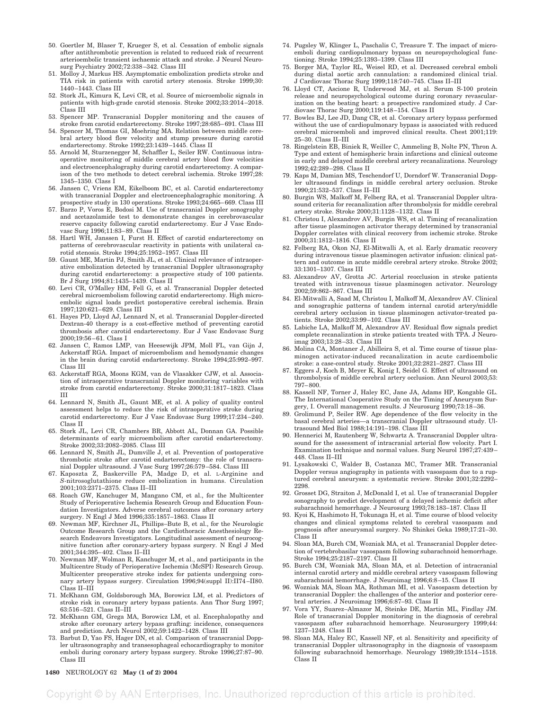- 50. Goertler M, Blaser T, Krueger S, et al. Cessation of embolic signals after antithrombotic prevention is related to reduced risk of recurrent arterioembolic transient ischaemic attack and stroke. J Neurol Neurosurg Psychiatry 2002;72:338–342. Class III
- 51. Molloy J, Markus HS. Asymptomatic embolization predicts stroke and TIA risk in patients with carotid artery stenosis. Stroke 1999;30: 1440–1443. Class III
- 52. Stork JL, Kimura K, Levi CR, et al. Source of microembolic signals in patients with high-grade carotid stenosis. Stroke 2002;33:2014–2018. Class III
- 53. Spencer MP. Transcranial Doppler monitoring and the causes of stroke from carotid endarterectomy. Stroke 1997;28:685–691. Class III
- 54. Spencer M, Thomas GI, Moehring MA. Relation between middle cerebral artery blood flow velocity and stump pressure during carotid endarterectomy. Stroke 1992;23:1439–1445. Class II
- 55. Arnold M, Sturzenegger M, Schaffler L, Seiler RW. Continuous intraoperative monitoring of middle cerebral artery blood flow velocities and electroencephalography during carotid endarterectomy. A comparison of the two methods to detect cerebral ischemia. Stroke 1997;28: 1345–1350. Class I
- 56. Jansen C, Vriens EM, Eikelboom BC, et al. Carotid endarterectomy with transcranial Doppler and electroencephalographic monitoring. A prospective study in 130 operations. Stroke 1993;24:665–669. Class III
- 57. Barzo P, Voros E, Bodosi M. Use of transcranial Doppler sonography and acetazolamide test to demonstrate changes in cerebrovascular reserve capacity following carotid endarterectomy. Eur J Vasc Endovasc Surg 1996;11:83–89. Class II
- 58. Hartl WH, Janssen I, Furst H. Effect of carotid endarterectomy on patterns of cerebrovascular reactivity in patients with unilateral carotid stenosis. Stroke 1994;25:1952–1957. Class III
- 59. Gaunt ME, Martin PJ, Smith JL, et al. Clinical relevance of intraoperative embolization detected by transcranial Doppler ultrasonography during carotid endarterectomy: a prospective study of 100 patients. Br J Surg 1994;81:1435–1439. Class II
- 60. Levi CR, O'Malley HM, Fell G, et al. Transcranial Doppler detected cerebral microembolism following carotid endarterectomy. High microembolic signal loads predict postoperative cerebral ischemia. Brain 1997;120:621–629. Class III
- 61. Hayes PD, Lloyd AJ, Lennard N, et al. Transcranial Doppler-directed Dextran-40 therapy is a cost-effective method of preventing carotid thrombosis after carotid endarterectomy. Eur J Vasc Endovasc Surg 2000;19:56–61. Class I
- 62. Jansen C, Ramos LMP, van Heesewijk JPM, Moll FL, van Gijn J, Ackerstaff RGA. Impact of microembolism and hemodynamic changes in the brain during carotid endarterectomy. Stroke 1994;25:992–997. Class III
- 63. Ackerstaff RGA, Moons KGM, van de Vlasakker CJW, et al. Association of intraoperative transcranial Doppler monitoring variables with stroke from carotid endarterectomy. Stroke 2000;31:1817–1823. Class III
- 64. Lennard N, Smith JL, Gaunt ME, et al. A policy of quality control assessment helps to reduce the risk of intraoperative stroke during carotid endarterectomy. Eur J Vasc Endovasc Surg 1999;17:234–240. Class II
- 65. Stork JL, Levi CR, Chambers BR, Abbott AL, Donnan GA. Possible determinants of early microembolism after carotid endarterectomy. Stroke 2002;33:2082–2085. Class III
- 66. Lennard N, Smith JL, Dumville J, et al. Prevention of postoperative thrombotic stroke after carotid endarterectomy: the role of transcranial Doppler ultrasound. J Vasc Surg 1997;26:579–584. Class III
- 67. Kaposzta Z, Baskerville PA, Madge D, et al. L-Arginine and *S*-nitrosoglutathione reduce embolization in humans. Circulation 2001;103:2371–2375. Class II–III
- 68. Roach GW, Kanchuger M, Mangano CM, et al., for the Multicenter Study of Perioperative Ischemia Research Group and Education Foundation Investigators. Adverse cerebral outcomes after coronary artery surgery. N Engl J Med 1996;335:1857–1863. Class II
- 69. Newman MF, Kirchner JL, Phillips–Bute B, et al., for the Neurologic Outcome Research Group and the Cardiothoracic Anesthesiology Research Endeavors Investigators. Longitudinal assessment of neurocognitive function after coronary-artery bypass surgery. N Engl J Med 2001;344:395–402. Class II–III
- 70. Newman MF, Wolman R, Kanchuger M, et al., and participants in the Multicentre Study of Perioperative Ischemia (McSPI) Research Group. Multicenter preoperative stroke index for patients undergoing coronary artery bypass surgery. Circulation 1996;94(suppl II):II74–II80. Class II–III
- 71. McKhann GM, Goldsborough MA, Borowicz LM, et al. Predictors of stroke risk in coronary artery bypass patients. Ann Thor Surg 1997; 63:516–521. Class II–III
- 72. McKhann GM, Grega MA, Borowicz LM, et al. Encephalopathy and stroke after coronary artery bypass grafting: incidence, consequences and prediction. Arch Neurol 2002;59:1422–1428. Class III
- 73. Barbut D, Yao FS, Hager DN, et al. Comparison of transcranial Doppler ultrasonography and transesophageal echocardiography to monitor emboli during coronary artery bypass surgery. Stroke 1996;27:87–90. Class III
- **1480** NEUROLOGY 62 **May (1 of 2) 2004**
- 74. Pugsley W, Klinger L, Paschalis C, Treasure T. The impact of microemboli during cardiopulmonary bypass on neuropsychological functioning. Stroke 1994;25:1393–1399. Class III
- 75. Borger MA, Taylor RL, Weisel RD, et al. Decreased cerebral emboli during distal aortic arch cannulation: a randomized clinical trial. J Cardiovasc Thorac Surg 1999;118:740–745. Class II–III
- 76. Lloyd CT, Ascione R, Underwood MJ, et al. Serum S-100 protein release and neuropsychological outcome during coronary revascularization on the beating heart: a prospective randomized study. J Cardiovasc Thorac Surg 2000;119:148–154. Class II
- 77. Bowles BJ, Lee JD, Dang CR, et al. Coronary artery bypass performed without the use of cardiopulmonary bypass is associated with reduced cerebral microemboli and improved clinical results. Chest 2001;119: 25–30. Class II–III
- 78. Ringelstein EB, Biniek R, Weiller C, Ammeling B, Nolte PN, Thron A. Type and extent of hemispheric brain infarctions and clinical outcome in early and delayed middle cerebral artery recanalizations. Neurology 1992;42:289–298. Class II
- 79. Kaps M, Damian MS, Teschendorf U, Dorndorf W. Transcranial Doppler ultrasound findings in middle cerebral artery occlusion. Stroke 1990;21:532–537. Class II–III
- 80. Burgin WS, Malkoff M, Felberg RA, et al. Transcranial Doppler ultrasound criteria for recanalization after thrombolysis for middle cerebral artery stroke. Stroke 2000;31:1128–1132. Class II
- 81. Christou I, Alexandrov AV, Burgin WS, et al. Timing of recanalization after tissue plasminogen activator therapy determined by transcranial Doppler correlates with clinical recovery from ischemic stroke. Stroke 2000;31:1812–1816. Class II
- 82. Felberg RA, Okon NJ, El-Mitwalli A, et al. Early dramatic recovery during intravenous tissue plasminogen activator infusion: clinical pattern and outcome in acute middle cerebral artery stroke. Stroke 2002; 33:1301–1307. Class III
- 83. Alexandrov AV, Grotta JC. Arterial reocclusion in stroke patients treated with intravenous tissue plasminogen activator. Neurology 2002;59:862–867. Class III
- 84. El-Mitwalli A, Saad M, Christou I, Malkoff M, Alexandrov AV. Clinical and sonographic patterns of tandem internal carotid artery/middle cerebral artery occlusion in tissue plasminogen activator-treated patients. Stroke 2002;33:99–102. Class III
- 85. Labiche LA, Malkoff M, Alexandrov AV. Residual flow signals predict complete recanalization in stroke patients treated with TPA. J Neuroimag 2003;13:28–33. Class III
- 86. Molina CA, Montaner J, Abilleira S, et al. Time course of tissue plasminogen activator-induced recanalization in acute cardioembolic stroke: a case-control study. Stroke 2001;32:2821–2827. Class III
- 87. Eggers J, Koch B, Meyer K, Konig I, Seidel G. Effect of ultrasound on thrombolysis of middle cerebral artery occlusion. Ann Neurol 2003;53: 797–800.
- 88. Kassell NF, Torner J, Haley EC, Jane JA, Adams HP, Kongable GL. The International Cooperative Study on the Timing of Aneurysm Surgery, I. Overall management results. J Neurosurg 1990;73:18–36.
- 89. Grolimund P, Seiler RW. Age dependence of the flow velocity in the basal cerebral arteries—a transcranial Doppler ultrasound study. Ultrasound Med Biol 1988;14:191–198. Class III
- 90. Hennerici M, Rautenberg W, Schwartz A. Transcranial Doppler ultrasound for the assessment of intracranial arterial flow velocity. Part I. Examination technique and normal values. Surg Neurol 1987;27:439– 448. Class II–III
- 91. Lysakowski C, Walder B, Costanza MC, Tramer MR. Transcranial Doppler versus angiography in patients with vasospasm due to a ruptured cerebral aneurysm: a systematic review. Stroke 2001;32:2292– 2298.
- 92. Grosset DG, Straiton J, McDonald I, et al. Use of transcranial Doppler sonography to predict development of a delayed ischemic deficit after subarachnoid hemorrhage. J Neurosurg 1993;78:183–187. Class II
- 93. Kyoi K, Hashimoto H, Tokunaga H, et al. Time course of blood velocity changes and clinical symptoms related to cerebral vasospasm and prognosis after aneurysmal surgery. No Shinkei Geka 1989;17:21–30. Class II
- 94. Sloan MA, Burch CM, Wozniak MA, et al. Transcranial Doppler detection of vertebrobasilar vasospasm following subarachnoid hemorrhage. Stroke 1994;25:2187–2197. Class II
- 95. Burch CM, Wozniak MA, Sloan MA, et al. Detection of intracranial internal carotid artery and middle cerebral artery vasospasm following subarachnoid hemorrhage. J Neuroimag 1996;6:8–15. Class II
- 96. Wozniak MA, Sloan MA, Rothman MI, et al. Vasospasm detection by transcranial Doppler: the challenges of the anterior and posterior cerebral arteries. J Neuroimag 1996;6:87–93. Class II
- 97. Vora YY, Suarez–Almazor M, Steinke DE, Martin ML, Findlay JM. Role of transcranial Doppler monitoring in the diagnosis of cerebral vasospasm after subarachnoid hemorrhage. Neurosurgery 1999;44: 1237–1248. Class II
- 98. Sloan MA, Haley EC, Kassell NF, et al. Sensitivity and specificity of transcranial Doppler ultrasonography in the diagnosis of vasospasm following subarachnoid hemorrhage. Neurology 1989;39:1514–1518. Class II